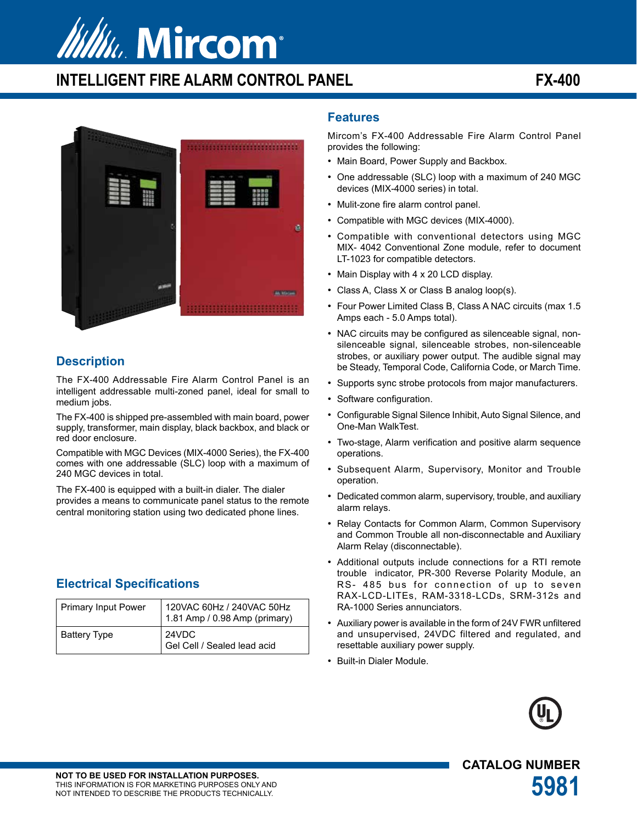# **Mu. Mircom**

# **INTELLIGENT FIRE ALARM CONTROL PANEL FX-400**



## **Description**

The FX-400 Addressable Fire Alarm Control Panel is an intelligent addressable multi-zoned panel, ideal for small to medium jobs.

The FX-400 is shipped pre-assembled with main board, power supply, transformer, main display, black backbox, and black or red door enclosure.

Compatible with MGC Devices (MIX-4000 Series), the FX-400 comes with one addressable (SLC) loop with a maximum of 240 MGC devices in total.

The FX-400 is equipped with a built-in dialer. The dialer provides a means to communicate panel status to the remote central monitoring station using two dedicated phone lines.

## **Electrical Specifications**

| Primary Input Power | 120VAC 60Hz / 240VAC 50Hz<br>1.81 Amp / 0.98 Amp (primary) |
|---------------------|------------------------------------------------------------|
| <b>Battery Type</b> | 24VDC<br>Gel Cell / Sealed lead acid                       |

### **Features**

Mircom's FX-400 Addressable Fire Alarm Control Panel provides the following:

- Main Board, Power Supply and Backbox.
- One addressable (SLC) loop with a maximum of 240 MGC devices (MIX-4000 series) in total.
- Mulit-zone fire alarm control panel.
- Compatible with MGC devices (MIX-4000).
- Compatible with conventional detectors using MGC MIX- 4042 Conventional Zone module, refer to document LT-1023 for compatible detectors.
- Main Display with 4 x 20 LCD display.
- Class A, Class X or Class B analog loop(s).
- Four Power Limited Class B, Class A NAC circuits (max 1.5 Amps each - 5.0 Amps total).
- NAC circuits may be configured as silenceable signal, nonsilenceable signal, silenceable strobes, non-silenceable strobes, or auxiliary power output. The audible signal may be Steady, Temporal Code, California Code, or March Time.
- Supports sync strobe protocols from major manufacturers.
- Software configuration.
- Configurable Signal Silence Inhibit, Auto Signal Silence, and One-Man WalkTest.
- Two-stage, Alarm verification and positive alarm sequence operations.
- Subsequent Alarm, Supervisory, Monitor and Trouble operation.
- Dedicated common alarm, supervisory, trouble, and auxiliary alarm relays.
- Relay Contacts for Common Alarm, Common Supervisory and Common Trouble all non-disconnectable and Auxiliary Alarm Relay (disconnectable).
- Additional outputs include connections for a RTI remote trouble indicator, PR-300 Reverse Polarity Module, an RS- 485 bus for connection of up to seven RAX-LCD-LITEs, RAM-3318-LCDs, SRM-312s and RA-1000 Series annunciators.
- Auxiliary power is available in the form of 24V FWR unfiltered and unsupervised, 24VDC filtered and regulated, and resettable auxiliary power supply.
- Built-in Dialer Module.



**CATALOG NUMBER**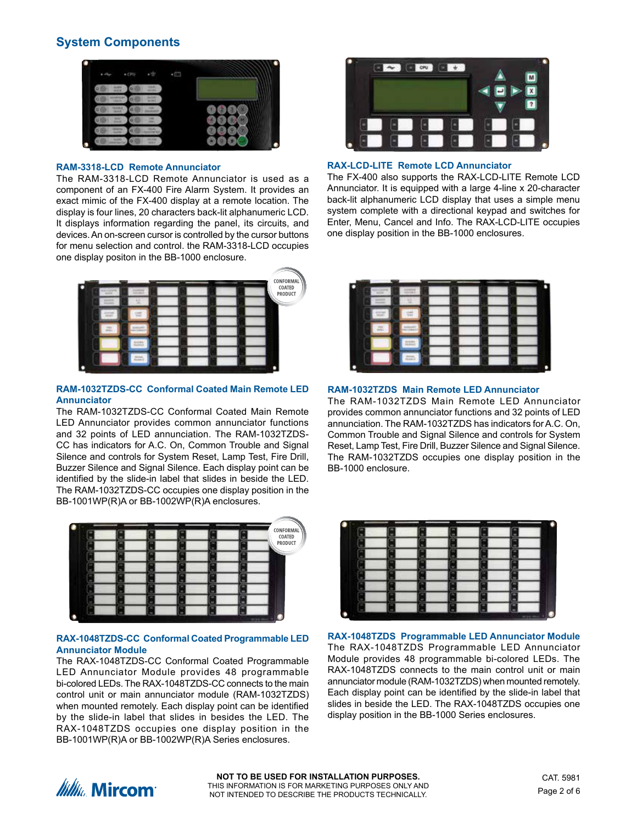## **System Components**



#### **RAM-3318-LCD Remote Annunciator**

The RAM-3318-LCD Remote Annunciator is used as a component of an FX-400 Fire Alarm System. It provides an exact mimic of the FX-400 display at a remote location. The display is four lines, 20 characters back-lit alphanumeric LCD. It displays information regarding the panel, its circuits, and devices. An on-screen cursor is controlled by the cursor buttons for menu selection and control. the RAM-3318-LCD occupies one display positon in the BB-1000 enclosure.



#### **RAM-1032TZDS-CC Conformal Coated Main Remote LED Annunciator**

The RAM-1032TZDS-CC Conformal Coated Main Remote LED Annunciator provides common annunciator functions and 32 points of LED annunciation. The RAM-1032TZDS-CC has indicators for A.C. On, Common Trouble and Signal Silence and controls for System Reset, Lamp Test, Fire Drill, Buzzer Silence and Signal Silence. Each display point can be identified by the slide-in label that slides in beside the LED. The RAM-1032TZDS-CC occupies one display position in the BB-1001WP(R)A or BB-1002WP(R)A enclosures.



#### **RAX-1048TZDS-CC Conformal Coated Programmable LED Annunciator Module**

The RAX-1048TZDS-CC Conformal Coated Programmable LED Annunciator Module provides 48 programmable bi-colored LEDs. The RAX-1048TZDS-CC connects to the main control unit or main annunciator module (RAM-1032TZDS) when mounted remotely. Each display point can be identified by the slide-in label that slides in besides the LED. The RAX-1048TZDS occupies one display position in the BB-1001WP(R)A or BB-1002WP(R)A Series enclosures.



#### **RAX-LCD-LITE Remote LCD Annunciator**

The FX-400 also supports the RAX-LCD-LITE Remote LCD Annunciator. It is equipped with a large 4-line x 20-character back-lit alphanumeric LCD display that uses a simple menu system complete with a directional keypad and switches for Enter, Menu, Cancel and Info. The RAX-LCD-LITE occupies one display position in the BB-1000 enclosures.



#### **RAM-1032TZDS Main Remote LED Annunciator**

The RAM-1032TZDS Main Remote LED Annunciator provides common annunciator functions and 32 points of LED annunciation. The RAM-1032TZDS has indicators for A.C. On, Common Trouble and Signal Silence and controls for System Reset, Lamp Test, Fire Drill, Buzzer Silence and Signal Silence. The RAM-1032TZDS occupies one display position in the BB-1000 enclosure.



**RAX-1048TZDS Programmable LED Annunciator Module** The RAX-1048TZDS Programmable LED Annunciator Module provides 48 programmable bi-colored LEDs. The RAX-1048TZDS connects to the main control unit or main annunciator module (RAM-1032TZDS) when mounted remotely. Each display point can be identified by the slide-in label that slides in beside the LED. The RAX-1048TZDS occupies one display position in the BB-1000 Series enclosures.

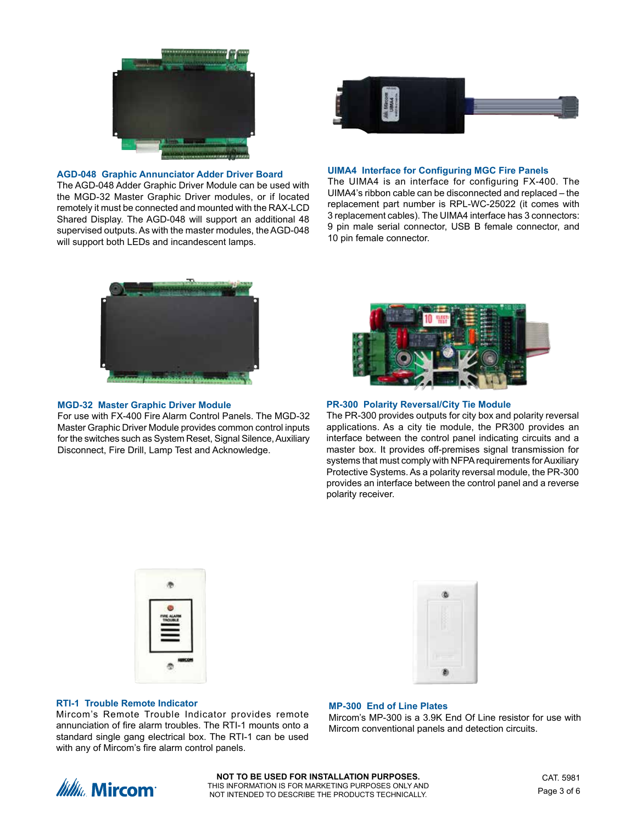

#### **AGD-048 Graphic Annunciator Adder Driver Board**

The AGD-048 Adder Graphic Driver Module can be used with the MGD-32 Master Graphic Driver modules, or if located remotely it must be connected and mounted with the RAX-LCD Shared Display. The AGD-048 will support an additional 48 supervised outputs. As with the master modules, the AGD-048 will support both LEDs and incandescent lamps.



#### **UIMA4 Interface for Configuring MGC Fire Panels**

The UIMA4 is an interface for configuring FX-400. The UIMA4's ribbon cable can be disconnected and replaced – the replacement part number is RPL-WC-25022 (it comes with 3 replacement cables). The UIMA4 interface has 3 connectors: 9 pin male serial connector, USB B female connector, and 10 pin female connector.



#### **MGD-32 Master Graphic Driver Module**

For use with FX-400 Fire Alarm Control Panels. The MGD-32 Master Graphic Driver Module provides common control inputs for the switches such as System Reset, Signal Silence, Auxiliary Disconnect, Fire Drill, Lamp Test and Acknowledge.



#### **PR-300 Polarity Reversal/City Tie Module**

The PR-300 provides outputs for city box and polarity reversal applications. As a city tie module, the PR300 provides an interface between the control panel indicating circuits and a master box. It provides off-premises signal transmission for systems that must comply with NFPA requirements for Auxiliary Protective Systems. As a polarity reversal module, the PR-300 provides an interface between the control panel and a reverse polarity receiver.





#### **RTI-1 Trouble Remote Indicator**

Mircom's Remote Trouble Indicator provides remote annunciation of fire alarm troubles. The RTI-1 mounts onto a standard single gang electrical box. The RTI-1 can be used with any of Mircom's fire alarm control panels.

#### **MP-300 End of Line Plates**

Mircom's MP-300 is a 3.9K End Of Line resistor for use with Mircom conventional panels and detection circuits.

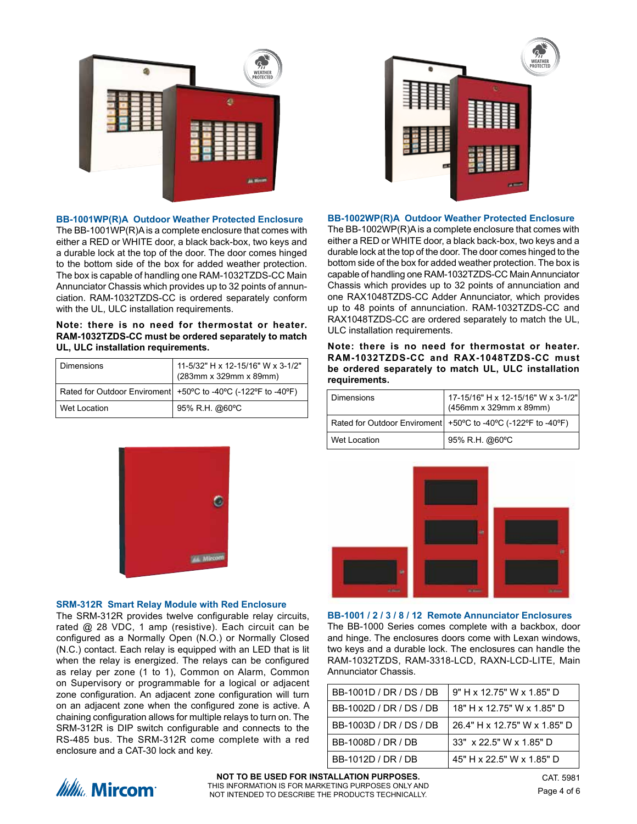

#### **BB-1001WP(R)A Outdoor Weather Protected Enclosure**

The BB-1001WP(R)A is a complete enclosure that comes with either a RED or WHITE door, a black back-box, two keys and a durable lock at the top of the door. The door comes hinged to the bottom side of the box for added weather protection. The box is capable of handling one RAM-1032TZDS-CC Main Annunciator Chassis which provides up to 32 points of annunciation. RAM-1032TZDS-CC is ordered separately conform with the UL, ULC installation requirements.

**Note: there is no need for thermostat or heater. RAM-1032TZDS-CC must be ordered separately to match UL, ULC installation requirements.**

| <b>Dimensions</b> | 11-5/32" H x 12-15/16" W x 3-1/2"<br>  (283mm x 329mm x 89mm) |
|-------------------|---------------------------------------------------------------|
|                   | Rated for Outdoor Enviroment +50°C to -40°C (-122°F to -40°F) |
| Wet Location      | 95% R.H. @60°C                                                |



#### **BB-1002WP(R)A Outdoor Weather Protected Enclosure**

The BB-1002WP(R)A is a complete enclosure that comes with either a RED or WHITE door, a black back-box, two keys and a durable lock at the top of the door. The door comes hinged to the bottom side of the box for added weather protection. The box is capable of handling one RAM-1032TZDS-CC Main Annunciator Chassis which provides up to 32 points of annunciation and one RAX1048TZDS-CC Adder Annunciator, which provides up to 48 points of annunciation. RAM-1032TZDS-CC and RAX1048TZDS-CC are ordered separately to match the UL, ULC installation requirements.

**Note: there is no need for thermostat or heater. RAM-1032TZDS-CC and RAX-1048TZDS-CC must be ordered separately to match UL, ULC installation requirements.**

| Dimensions   | 17-15/16" H x 12-15/16" W x 3-1/2"<br>(456mm x 329mm x 89mm)    |
|--------------|-----------------------------------------------------------------|
|              | Rated for Outdoor Enviroment   +50°C to -40°C (-122°F to -40°F) |
| Wet Location | 95% R.H. @60°C                                                  |



#### **SRM-312R Smart Relay Module with Red Enclosure**

The SRM-312R provides twelve configurable relay circuits, rated @ 28 VDC, 1 amp (resistive). Each circuit can be configured as a Normally Open (N.O.) or Normally Closed (N.C.) contact. Each relay is equipped with an LED that is lit when the relay is energized. The relays can be configured as relay per zone (1 to 1), Common on Alarm, Common on Supervisory or programmable for a logical or adjacent zone configuration. An adjacent zone configuration will turn on an adjacent zone when the configured zone is active. A chaining configuration allows for multiple relays to turn on. The SRM-312R is DIP switch configurable and connects to the RS-485 bus. The SRM-312R come complete with a red enclosure and a CAT-30 lock and key.



**BB-1001 / 2 / 3 / 8 / 12 Remote Annunciator Enclosures** The BB-1000 Series comes complete with a backbox, door and hinge. The enclosures doors come with Lexan windows, two keys and a durable lock. The enclosures can handle the RAM-1032TZDS, RAM-3318-LCD, RAXN-LCD-LITE, Main Annunciator Chassis.

| BB-1001D / DR / DS / DB | 9" H x 12.75" W x 1.85" D    |
|-------------------------|------------------------------|
| BB-1002D / DR / DS / DB | 18" H x 12.75" W x 1.85" D   |
| BB-1003D / DR / DS / DB | 26.4" H x 12.75" W x 1.85" D |
| BB-1008D / DR / DB      | 33" x 22.5" W x 1.85" D      |
| BB-1012D / DR / DB      | 45" H x 22.5" W x 1.85" D    |



**NOT TO BE USED FOR INSTALLATION PURPOSES.** THIS INFORMATION IS FOR MARKETING PURPOSES ONLY AND NOT INTENDED TO DESCRIBE THE PRODUCTS TECHNICALLY.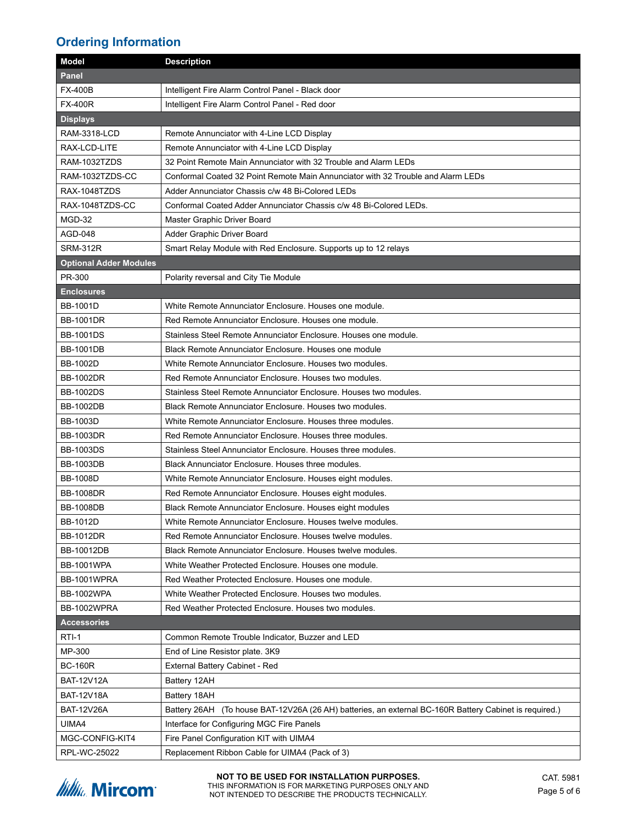## **Ordering Information**

| <b>Panel</b><br><b>FX-400B</b><br>Intelligent Fire Alarm Control Panel - Black door<br><b>FX-400R</b><br>Intelligent Fire Alarm Control Panel - Red door<br><b>Displays</b><br><b>RAM-3318-LCD</b><br>Remote Annunciator with 4-Line LCD Display<br>RAX-LCD-LITE<br>Remote Annunciator with 4-Line LCD Display<br>RAM-1032TZDS<br>32 Point Remote Main Annunciator with 32 Trouble and Alarm LEDs<br>RAM-1032TZDS-CC<br>Conformal Coated 32 Point Remote Main Annunciator with 32 Trouble and Alarm LEDs<br>RAX-1048TZDS<br>Adder Annunciator Chassis c/w 48 Bi-Colored LEDs<br>RAX-1048TZDS-CC<br>Conformal Coated Adder Annunciator Chassis c/w 48 Bi-Colored LEDs.<br>MGD-32<br>Master Graphic Driver Board<br>AGD-048<br>Adder Graphic Driver Board<br><b>SRM-312R</b><br>Smart Relay Module with Red Enclosure. Supports up to 12 relays<br><b>Optional Adder Modules</b><br>PR-300<br>Polarity reversal and City Tie Module<br><b>Enclosures</b><br><b>BB-1001D</b><br>White Remote Annunciator Enclosure. Houses one module.<br><b>BB-1001DR</b><br>Red Remote Annunciator Enclosure. Houses one module.<br><b>BB-1001DS</b><br>Stainless Steel Remote Annunciator Enclosure. Houses one module.<br><b>BB-1001DB</b><br>Black Remote Annunciator Enclosure. Houses one module<br><b>BB-1002D</b><br>White Remote Annunciator Enclosure. Houses two modules.<br><b>BB-1002DR</b><br>Red Remote Annunciator Enclosure. Houses two modules.<br><b>BB-1002DS</b><br>Stainless Steel Remote Annunciator Enclosure. Houses two modules.<br><b>BB-1002DB</b><br>Black Remote Annunciator Enclosure. Houses two modules.<br><b>BB-1003D</b><br>White Remote Annunciator Enclosure. Houses three modules.<br><b>BB-1003DR</b><br>Red Remote Annunciator Enclosure. Houses three modules.<br><b>BB-1003DS</b><br>Stainless Steel Annunciator Enclosure. Houses three modules.<br><b>BB-1003DB</b><br>Black Annunciator Enclosure. Houses three modules.<br><b>BB-1008D</b><br>White Remote Annunciator Enclosure. Houses eight modules.<br><b>BB-1008DR</b><br>Red Remote Annunciator Enclosure. Houses eight modules.<br><b>BB-1008DB</b><br>Black Remote Annunciator Enclosure. Houses eight modules<br>BB-1012D<br>White Remote Annunciator Enclosure. Houses twelve modules.<br><b>BB-1012DR</b><br>Red Remote Annunciator Enclosure. Houses twelve modules.<br>BB-10012DB<br>Black Remote Annunciator Enclosure. Houses twelve modules.<br><b>BB-1001WPA</b><br>White Weather Protected Enclosure. Houses one module.<br>BB-1001WPRA<br>Red Weather Protected Enclosure. Houses one module.<br><b>BB-1002WPA</b><br>White Weather Protected Enclosure. Houses two modules.<br>BB-1002WPRA<br>Red Weather Protected Enclosure. Houses two modules.<br><b>Accessories</b><br>RTI-1<br>Common Remote Trouble Indicator, Buzzer and LED<br>MP-300<br>End of Line Resistor plate. 3K9<br><b>BC-160R</b><br>External Battery Cabinet - Red<br><b>BAT-12V12A</b><br>Battery 12AH<br><b>BAT-12V18A</b><br>Battery 18AH<br><b>BAT-12V26A</b><br>Battery 26AH (To house BAT-12V26A (26 AH) batteries, an external BC-160R Battery Cabinet is required.)<br>UIMA4<br>Interface for Configuring MGC Fire Panels<br>MGC-CONFIG-KIT4<br>Fire Panel Configuration KIT with UIMA4 | <b>Model</b> | <b>Description</b>                             |
|---------------------------------------------------------------------------------------------------------------------------------------------------------------------------------------------------------------------------------------------------------------------------------------------------------------------------------------------------------------------------------------------------------------------------------------------------------------------------------------------------------------------------------------------------------------------------------------------------------------------------------------------------------------------------------------------------------------------------------------------------------------------------------------------------------------------------------------------------------------------------------------------------------------------------------------------------------------------------------------------------------------------------------------------------------------------------------------------------------------------------------------------------------------------------------------------------------------------------------------------------------------------------------------------------------------------------------------------------------------------------------------------------------------------------------------------------------------------------------------------------------------------------------------------------------------------------------------------------------------------------------------------------------------------------------------------------------------------------------------------------------------------------------------------------------------------------------------------------------------------------------------------------------------------------------------------------------------------------------------------------------------------------------------------------------------------------------------------------------------------------------------------------------------------------------------------------------------------------------------------------------------------------------------------------------------------------------------------------------------------------------------------------------------------------------------------------------------------------------------------------------------------------------------------------------------------------------------------------------------------------------------------------------------------------------------------------------------------------------------------------------------------------------------------------------------------------------------------------------------------------------------------------------------------------------------------------------------------------------------------------------------------------------------------------------------------------------------------------------------------------------------------------------------------------------------------------------------------------------------------------------------------|--------------|------------------------------------------------|
|                                                                                                                                                                                                                                                                                                                                                                                                                                                                                                                                                                                                                                                                                                                                                                                                                                                                                                                                                                                                                                                                                                                                                                                                                                                                                                                                                                                                                                                                                                                                                                                                                                                                                                                                                                                                                                                                                                                                                                                                                                                                                                                                                                                                                                                                                                                                                                                                                                                                                                                                                                                                                                                                                                                                                                                                                                                                                                                                                                                                                                                                                                                                                                                                                                                                     |              |                                                |
|                                                                                                                                                                                                                                                                                                                                                                                                                                                                                                                                                                                                                                                                                                                                                                                                                                                                                                                                                                                                                                                                                                                                                                                                                                                                                                                                                                                                                                                                                                                                                                                                                                                                                                                                                                                                                                                                                                                                                                                                                                                                                                                                                                                                                                                                                                                                                                                                                                                                                                                                                                                                                                                                                                                                                                                                                                                                                                                                                                                                                                                                                                                                                                                                                                                                     |              |                                                |
|                                                                                                                                                                                                                                                                                                                                                                                                                                                                                                                                                                                                                                                                                                                                                                                                                                                                                                                                                                                                                                                                                                                                                                                                                                                                                                                                                                                                                                                                                                                                                                                                                                                                                                                                                                                                                                                                                                                                                                                                                                                                                                                                                                                                                                                                                                                                                                                                                                                                                                                                                                                                                                                                                                                                                                                                                                                                                                                                                                                                                                                                                                                                                                                                                                                                     |              |                                                |
|                                                                                                                                                                                                                                                                                                                                                                                                                                                                                                                                                                                                                                                                                                                                                                                                                                                                                                                                                                                                                                                                                                                                                                                                                                                                                                                                                                                                                                                                                                                                                                                                                                                                                                                                                                                                                                                                                                                                                                                                                                                                                                                                                                                                                                                                                                                                                                                                                                                                                                                                                                                                                                                                                                                                                                                                                                                                                                                                                                                                                                                                                                                                                                                                                                                                     |              |                                                |
|                                                                                                                                                                                                                                                                                                                                                                                                                                                                                                                                                                                                                                                                                                                                                                                                                                                                                                                                                                                                                                                                                                                                                                                                                                                                                                                                                                                                                                                                                                                                                                                                                                                                                                                                                                                                                                                                                                                                                                                                                                                                                                                                                                                                                                                                                                                                                                                                                                                                                                                                                                                                                                                                                                                                                                                                                                                                                                                                                                                                                                                                                                                                                                                                                                                                     |              |                                                |
|                                                                                                                                                                                                                                                                                                                                                                                                                                                                                                                                                                                                                                                                                                                                                                                                                                                                                                                                                                                                                                                                                                                                                                                                                                                                                                                                                                                                                                                                                                                                                                                                                                                                                                                                                                                                                                                                                                                                                                                                                                                                                                                                                                                                                                                                                                                                                                                                                                                                                                                                                                                                                                                                                                                                                                                                                                                                                                                                                                                                                                                                                                                                                                                                                                                                     |              |                                                |
|                                                                                                                                                                                                                                                                                                                                                                                                                                                                                                                                                                                                                                                                                                                                                                                                                                                                                                                                                                                                                                                                                                                                                                                                                                                                                                                                                                                                                                                                                                                                                                                                                                                                                                                                                                                                                                                                                                                                                                                                                                                                                                                                                                                                                                                                                                                                                                                                                                                                                                                                                                                                                                                                                                                                                                                                                                                                                                                                                                                                                                                                                                                                                                                                                                                                     |              |                                                |
|                                                                                                                                                                                                                                                                                                                                                                                                                                                                                                                                                                                                                                                                                                                                                                                                                                                                                                                                                                                                                                                                                                                                                                                                                                                                                                                                                                                                                                                                                                                                                                                                                                                                                                                                                                                                                                                                                                                                                                                                                                                                                                                                                                                                                                                                                                                                                                                                                                                                                                                                                                                                                                                                                                                                                                                                                                                                                                                                                                                                                                                                                                                                                                                                                                                                     |              |                                                |
|                                                                                                                                                                                                                                                                                                                                                                                                                                                                                                                                                                                                                                                                                                                                                                                                                                                                                                                                                                                                                                                                                                                                                                                                                                                                                                                                                                                                                                                                                                                                                                                                                                                                                                                                                                                                                                                                                                                                                                                                                                                                                                                                                                                                                                                                                                                                                                                                                                                                                                                                                                                                                                                                                                                                                                                                                                                                                                                                                                                                                                                                                                                                                                                                                                                                     |              |                                                |
|                                                                                                                                                                                                                                                                                                                                                                                                                                                                                                                                                                                                                                                                                                                                                                                                                                                                                                                                                                                                                                                                                                                                                                                                                                                                                                                                                                                                                                                                                                                                                                                                                                                                                                                                                                                                                                                                                                                                                                                                                                                                                                                                                                                                                                                                                                                                                                                                                                                                                                                                                                                                                                                                                                                                                                                                                                                                                                                                                                                                                                                                                                                                                                                                                                                                     |              |                                                |
|                                                                                                                                                                                                                                                                                                                                                                                                                                                                                                                                                                                                                                                                                                                                                                                                                                                                                                                                                                                                                                                                                                                                                                                                                                                                                                                                                                                                                                                                                                                                                                                                                                                                                                                                                                                                                                                                                                                                                                                                                                                                                                                                                                                                                                                                                                                                                                                                                                                                                                                                                                                                                                                                                                                                                                                                                                                                                                                                                                                                                                                                                                                                                                                                                                                                     |              |                                                |
|                                                                                                                                                                                                                                                                                                                                                                                                                                                                                                                                                                                                                                                                                                                                                                                                                                                                                                                                                                                                                                                                                                                                                                                                                                                                                                                                                                                                                                                                                                                                                                                                                                                                                                                                                                                                                                                                                                                                                                                                                                                                                                                                                                                                                                                                                                                                                                                                                                                                                                                                                                                                                                                                                                                                                                                                                                                                                                                                                                                                                                                                                                                                                                                                                                                                     |              |                                                |
|                                                                                                                                                                                                                                                                                                                                                                                                                                                                                                                                                                                                                                                                                                                                                                                                                                                                                                                                                                                                                                                                                                                                                                                                                                                                                                                                                                                                                                                                                                                                                                                                                                                                                                                                                                                                                                                                                                                                                                                                                                                                                                                                                                                                                                                                                                                                                                                                                                                                                                                                                                                                                                                                                                                                                                                                                                                                                                                                                                                                                                                                                                                                                                                                                                                                     |              |                                                |
|                                                                                                                                                                                                                                                                                                                                                                                                                                                                                                                                                                                                                                                                                                                                                                                                                                                                                                                                                                                                                                                                                                                                                                                                                                                                                                                                                                                                                                                                                                                                                                                                                                                                                                                                                                                                                                                                                                                                                                                                                                                                                                                                                                                                                                                                                                                                                                                                                                                                                                                                                                                                                                                                                                                                                                                                                                                                                                                                                                                                                                                                                                                                                                                                                                                                     |              |                                                |
|                                                                                                                                                                                                                                                                                                                                                                                                                                                                                                                                                                                                                                                                                                                                                                                                                                                                                                                                                                                                                                                                                                                                                                                                                                                                                                                                                                                                                                                                                                                                                                                                                                                                                                                                                                                                                                                                                                                                                                                                                                                                                                                                                                                                                                                                                                                                                                                                                                                                                                                                                                                                                                                                                                                                                                                                                                                                                                                                                                                                                                                                                                                                                                                                                                                                     |              |                                                |
|                                                                                                                                                                                                                                                                                                                                                                                                                                                                                                                                                                                                                                                                                                                                                                                                                                                                                                                                                                                                                                                                                                                                                                                                                                                                                                                                                                                                                                                                                                                                                                                                                                                                                                                                                                                                                                                                                                                                                                                                                                                                                                                                                                                                                                                                                                                                                                                                                                                                                                                                                                                                                                                                                                                                                                                                                                                                                                                                                                                                                                                                                                                                                                                                                                                                     |              |                                                |
|                                                                                                                                                                                                                                                                                                                                                                                                                                                                                                                                                                                                                                                                                                                                                                                                                                                                                                                                                                                                                                                                                                                                                                                                                                                                                                                                                                                                                                                                                                                                                                                                                                                                                                                                                                                                                                                                                                                                                                                                                                                                                                                                                                                                                                                                                                                                                                                                                                                                                                                                                                                                                                                                                                                                                                                                                                                                                                                                                                                                                                                                                                                                                                                                                                                                     |              |                                                |
|                                                                                                                                                                                                                                                                                                                                                                                                                                                                                                                                                                                                                                                                                                                                                                                                                                                                                                                                                                                                                                                                                                                                                                                                                                                                                                                                                                                                                                                                                                                                                                                                                                                                                                                                                                                                                                                                                                                                                                                                                                                                                                                                                                                                                                                                                                                                                                                                                                                                                                                                                                                                                                                                                                                                                                                                                                                                                                                                                                                                                                                                                                                                                                                                                                                                     |              |                                                |
|                                                                                                                                                                                                                                                                                                                                                                                                                                                                                                                                                                                                                                                                                                                                                                                                                                                                                                                                                                                                                                                                                                                                                                                                                                                                                                                                                                                                                                                                                                                                                                                                                                                                                                                                                                                                                                                                                                                                                                                                                                                                                                                                                                                                                                                                                                                                                                                                                                                                                                                                                                                                                                                                                                                                                                                                                                                                                                                                                                                                                                                                                                                                                                                                                                                                     |              |                                                |
|                                                                                                                                                                                                                                                                                                                                                                                                                                                                                                                                                                                                                                                                                                                                                                                                                                                                                                                                                                                                                                                                                                                                                                                                                                                                                                                                                                                                                                                                                                                                                                                                                                                                                                                                                                                                                                                                                                                                                                                                                                                                                                                                                                                                                                                                                                                                                                                                                                                                                                                                                                                                                                                                                                                                                                                                                                                                                                                                                                                                                                                                                                                                                                                                                                                                     |              |                                                |
|                                                                                                                                                                                                                                                                                                                                                                                                                                                                                                                                                                                                                                                                                                                                                                                                                                                                                                                                                                                                                                                                                                                                                                                                                                                                                                                                                                                                                                                                                                                                                                                                                                                                                                                                                                                                                                                                                                                                                                                                                                                                                                                                                                                                                                                                                                                                                                                                                                                                                                                                                                                                                                                                                                                                                                                                                                                                                                                                                                                                                                                                                                                                                                                                                                                                     |              |                                                |
|                                                                                                                                                                                                                                                                                                                                                                                                                                                                                                                                                                                                                                                                                                                                                                                                                                                                                                                                                                                                                                                                                                                                                                                                                                                                                                                                                                                                                                                                                                                                                                                                                                                                                                                                                                                                                                                                                                                                                                                                                                                                                                                                                                                                                                                                                                                                                                                                                                                                                                                                                                                                                                                                                                                                                                                                                                                                                                                                                                                                                                                                                                                                                                                                                                                                     |              |                                                |
|                                                                                                                                                                                                                                                                                                                                                                                                                                                                                                                                                                                                                                                                                                                                                                                                                                                                                                                                                                                                                                                                                                                                                                                                                                                                                                                                                                                                                                                                                                                                                                                                                                                                                                                                                                                                                                                                                                                                                                                                                                                                                                                                                                                                                                                                                                                                                                                                                                                                                                                                                                                                                                                                                                                                                                                                                                                                                                                                                                                                                                                                                                                                                                                                                                                                     |              |                                                |
|                                                                                                                                                                                                                                                                                                                                                                                                                                                                                                                                                                                                                                                                                                                                                                                                                                                                                                                                                                                                                                                                                                                                                                                                                                                                                                                                                                                                                                                                                                                                                                                                                                                                                                                                                                                                                                                                                                                                                                                                                                                                                                                                                                                                                                                                                                                                                                                                                                                                                                                                                                                                                                                                                                                                                                                                                                                                                                                                                                                                                                                                                                                                                                                                                                                                     |              |                                                |
|                                                                                                                                                                                                                                                                                                                                                                                                                                                                                                                                                                                                                                                                                                                                                                                                                                                                                                                                                                                                                                                                                                                                                                                                                                                                                                                                                                                                                                                                                                                                                                                                                                                                                                                                                                                                                                                                                                                                                                                                                                                                                                                                                                                                                                                                                                                                                                                                                                                                                                                                                                                                                                                                                                                                                                                                                                                                                                                                                                                                                                                                                                                                                                                                                                                                     |              |                                                |
|                                                                                                                                                                                                                                                                                                                                                                                                                                                                                                                                                                                                                                                                                                                                                                                                                                                                                                                                                                                                                                                                                                                                                                                                                                                                                                                                                                                                                                                                                                                                                                                                                                                                                                                                                                                                                                                                                                                                                                                                                                                                                                                                                                                                                                                                                                                                                                                                                                                                                                                                                                                                                                                                                                                                                                                                                                                                                                                                                                                                                                                                                                                                                                                                                                                                     |              |                                                |
|                                                                                                                                                                                                                                                                                                                                                                                                                                                                                                                                                                                                                                                                                                                                                                                                                                                                                                                                                                                                                                                                                                                                                                                                                                                                                                                                                                                                                                                                                                                                                                                                                                                                                                                                                                                                                                                                                                                                                                                                                                                                                                                                                                                                                                                                                                                                                                                                                                                                                                                                                                                                                                                                                                                                                                                                                                                                                                                                                                                                                                                                                                                                                                                                                                                                     |              |                                                |
|                                                                                                                                                                                                                                                                                                                                                                                                                                                                                                                                                                                                                                                                                                                                                                                                                                                                                                                                                                                                                                                                                                                                                                                                                                                                                                                                                                                                                                                                                                                                                                                                                                                                                                                                                                                                                                                                                                                                                                                                                                                                                                                                                                                                                                                                                                                                                                                                                                                                                                                                                                                                                                                                                                                                                                                                                                                                                                                                                                                                                                                                                                                                                                                                                                                                     |              |                                                |
|                                                                                                                                                                                                                                                                                                                                                                                                                                                                                                                                                                                                                                                                                                                                                                                                                                                                                                                                                                                                                                                                                                                                                                                                                                                                                                                                                                                                                                                                                                                                                                                                                                                                                                                                                                                                                                                                                                                                                                                                                                                                                                                                                                                                                                                                                                                                                                                                                                                                                                                                                                                                                                                                                                                                                                                                                                                                                                                                                                                                                                                                                                                                                                                                                                                                     |              |                                                |
|                                                                                                                                                                                                                                                                                                                                                                                                                                                                                                                                                                                                                                                                                                                                                                                                                                                                                                                                                                                                                                                                                                                                                                                                                                                                                                                                                                                                                                                                                                                                                                                                                                                                                                                                                                                                                                                                                                                                                                                                                                                                                                                                                                                                                                                                                                                                                                                                                                                                                                                                                                                                                                                                                                                                                                                                                                                                                                                                                                                                                                                                                                                                                                                                                                                                     |              |                                                |
|                                                                                                                                                                                                                                                                                                                                                                                                                                                                                                                                                                                                                                                                                                                                                                                                                                                                                                                                                                                                                                                                                                                                                                                                                                                                                                                                                                                                                                                                                                                                                                                                                                                                                                                                                                                                                                                                                                                                                                                                                                                                                                                                                                                                                                                                                                                                                                                                                                                                                                                                                                                                                                                                                                                                                                                                                                                                                                                                                                                                                                                                                                                                                                                                                                                                     |              |                                                |
|                                                                                                                                                                                                                                                                                                                                                                                                                                                                                                                                                                                                                                                                                                                                                                                                                                                                                                                                                                                                                                                                                                                                                                                                                                                                                                                                                                                                                                                                                                                                                                                                                                                                                                                                                                                                                                                                                                                                                                                                                                                                                                                                                                                                                                                                                                                                                                                                                                                                                                                                                                                                                                                                                                                                                                                                                                                                                                                                                                                                                                                                                                                                                                                                                                                                     |              |                                                |
|                                                                                                                                                                                                                                                                                                                                                                                                                                                                                                                                                                                                                                                                                                                                                                                                                                                                                                                                                                                                                                                                                                                                                                                                                                                                                                                                                                                                                                                                                                                                                                                                                                                                                                                                                                                                                                                                                                                                                                                                                                                                                                                                                                                                                                                                                                                                                                                                                                                                                                                                                                                                                                                                                                                                                                                                                                                                                                                                                                                                                                                                                                                                                                                                                                                                     |              |                                                |
|                                                                                                                                                                                                                                                                                                                                                                                                                                                                                                                                                                                                                                                                                                                                                                                                                                                                                                                                                                                                                                                                                                                                                                                                                                                                                                                                                                                                                                                                                                                                                                                                                                                                                                                                                                                                                                                                                                                                                                                                                                                                                                                                                                                                                                                                                                                                                                                                                                                                                                                                                                                                                                                                                                                                                                                                                                                                                                                                                                                                                                                                                                                                                                                                                                                                     |              |                                                |
|                                                                                                                                                                                                                                                                                                                                                                                                                                                                                                                                                                                                                                                                                                                                                                                                                                                                                                                                                                                                                                                                                                                                                                                                                                                                                                                                                                                                                                                                                                                                                                                                                                                                                                                                                                                                                                                                                                                                                                                                                                                                                                                                                                                                                                                                                                                                                                                                                                                                                                                                                                                                                                                                                                                                                                                                                                                                                                                                                                                                                                                                                                                                                                                                                                                                     |              |                                                |
|                                                                                                                                                                                                                                                                                                                                                                                                                                                                                                                                                                                                                                                                                                                                                                                                                                                                                                                                                                                                                                                                                                                                                                                                                                                                                                                                                                                                                                                                                                                                                                                                                                                                                                                                                                                                                                                                                                                                                                                                                                                                                                                                                                                                                                                                                                                                                                                                                                                                                                                                                                                                                                                                                                                                                                                                                                                                                                                                                                                                                                                                                                                                                                                                                                                                     |              |                                                |
|                                                                                                                                                                                                                                                                                                                                                                                                                                                                                                                                                                                                                                                                                                                                                                                                                                                                                                                                                                                                                                                                                                                                                                                                                                                                                                                                                                                                                                                                                                                                                                                                                                                                                                                                                                                                                                                                                                                                                                                                                                                                                                                                                                                                                                                                                                                                                                                                                                                                                                                                                                                                                                                                                                                                                                                                                                                                                                                                                                                                                                                                                                                                                                                                                                                                     |              |                                                |
|                                                                                                                                                                                                                                                                                                                                                                                                                                                                                                                                                                                                                                                                                                                                                                                                                                                                                                                                                                                                                                                                                                                                                                                                                                                                                                                                                                                                                                                                                                                                                                                                                                                                                                                                                                                                                                                                                                                                                                                                                                                                                                                                                                                                                                                                                                                                                                                                                                                                                                                                                                                                                                                                                                                                                                                                                                                                                                                                                                                                                                                                                                                                                                                                                                                                     |              |                                                |
|                                                                                                                                                                                                                                                                                                                                                                                                                                                                                                                                                                                                                                                                                                                                                                                                                                                                                                                                                                                                                                                                                                                                                                                                                                                                                                                                                                                                                                                                                                                                                                                                                                                                                                                                                                                                                                                                                                                                                                                                                                                                                                                                                                                                                                                                                                                                                                                                                                                                                                                                                                                                                                                                                                                                                                                                                                                                                                                                                                                                                                                                                                                                                                                                                                                                     |              |                                                |
|                                                                                                                                                                                                                                                                                                                                                                                                                                                                                                                                                                                                                                                                                                                                                                                                                                                                                                                                                                                                                                                                                                                                                                                                                                                                                                                                                                                                                                                                                                                                                                                                                                                                                                                                                                                                                                                                                                                                                                                                                                                                                                                                                                                                                                                                                                                                                                                                                                                                                                                                                                                                                                                                                                                                                                                                                                                                                                                                                                                                                                                                                                                                                                                                                                                                     |              |                                                |
|                                                                                                                                                                                                                                                                                                                                                                                                                                                                                                                                                                                                                                                                                                                                                                                                                                                                                                                                                                                                                                                                                                                                                                                                                                                                                                                                                                                                                                                                                                                                                                                                                                                                                                                                                                                                                                                                                                                                                                                                                                                                                                                                                                                                                                                                                                                                                                                                                                                                                                                                                                                                                                                                                                                                                                                                                                                                                                                                                                                                                                                                                                                                                                                                                                                                     |              |                                                |
|                                                                                                                                                                                                                                                                                                                                                                                                                                                                                                                                                                                                                                                                                                                                                                                                                                                                                                                                                                                                                                                                                                                                                                                                                                                                                                                                                                                                                                                                                                                                                                                                                                                                                                                                                                                                                                                                                                                                                                                                                                                                                                                                                                                                                                                                                                                                                                                                                                                                                                                                                                                                                                                                                                                                                                                                                                                                                                                                                                                                                                                                                                                                                                                                                                                                     |              |                                                |
|                                                                                                                                                                                                                                                                                                                                                                                                                                                                                                                                                                                                                                                                                                                                                                                                                                                                                                                                                                                                                                                                                                                                                                                                                                                                                                                                                                                                                                                                                                                                                                                                                                                                                                                                                                                                                                                                                                                                                                                                                                                                                                                                                                                                                                                                                                                                                                                                                                                                                                                                                                                                                                                                                                                                                                                                                                                                                                                                                                                                                                                                                                                                                                                                                                                                     |              |                                                |
|                                                                                                                                                                                                                                                                                                                                                                                                                                                                                                                                                                                                                                                                                                                                                                                                                                                                                                                                                                                                                                                                                                                                                                                                                                                                                                                                                                                                                                                                                                                                                                                                                                                                                                                                                                                                                                                                                                                                                                                                                                                                                                                                                                                                                                                                                                                                                                                                                                                                                                                                                                                                                                                                                                                                                                                                                                                                                                                                                                                                                                                                                                                                                                                                                                                                     |              |                                                |
|                                                                                                                                                                                                                                                                                                                                                                                                                                                                                                                                                                                                                                                                                                                                                                                                                                                                                                                                                                                                                                                                                                                                                                                                                                                                                                                                                                                                                                                                                                                                                                                                                                                                                                                                                                                                                                                                                                                                                                                                                                                                                                                                                                                                                                                                                                                                                                                                                                                                                                                                                                                                                                                                                                                                                                                                                                                                                                                                                                                                                                                                                                                                                                                                                                                                     |              |                                                |
|                                                                                                                                                                                                                                                                                                                                                                                                                                                                                                                                                                                                                                                                                                                                                                                                                                                                                                                                                                                                                                                                                                                                                                                                                                                                                                                                                                                                                                                                                                                                                                                                                                                                                                                                                                                                                                                                                                                                                                                                                                                                                                                                                                                                                                                                                                                                                                                                                                                                                                                                                                                                                                                                                                                                                                                                                                                                                                                                                                                                                                                                                                                                                                                                                                                                     |              |                                                |
|                                                                                                                                                                                                                                                                                                                                                                                                                                                                                                                                                                                                                                                                                                                                                                                                                                                                                                                                                                                                                                                                                                                                                                                                                                                                                                                                                                                                                                                                                                                                                                                                                                                                                                                                                                                                                                                                                                                                                                                                                                                                                                                                                                                                                                                                                                                                                                                                                                                                                                                                                                                                                                                                                                                                                                                                                                                                                                                                                                                                                                                                                                                                                                                                                                                                     |              |                                                |
|                                                                                                                                                                                                                                                                                                                                                                                                                                                                                                                                                                                                                                                                                                                                                                                                                                                                                                                                                                                                                                                                                                                                                                                                                                                                                                                                                                                                                                                                                                                                                                                                                                                                                                                                                                                                                                                                                                                                                                                                                                                                                                                                                                                                                                                                                                                                                                                                                                                                                                                                                                                                                                                                                                                                                                                                                                                                                                                                                                                                                                                                                                                                                                                                                                                                     | RPL-WC-25022 | Replacement Ribbon Cable for UIMA4 (Pack of 3) |